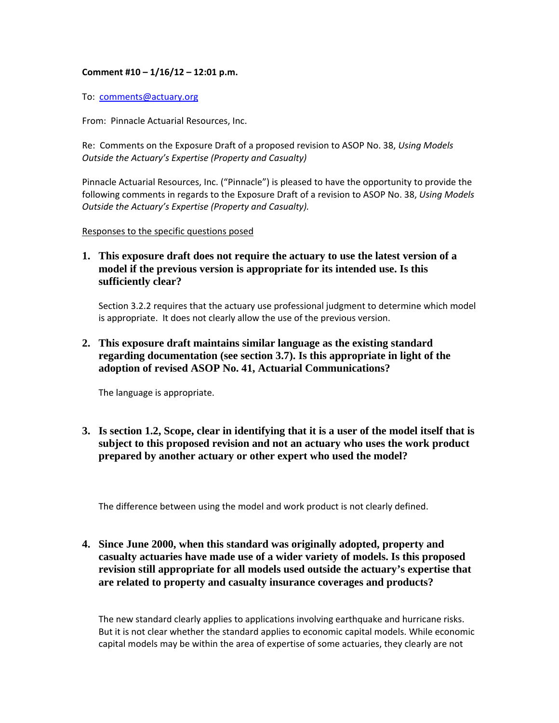## **Comment #10 – 1/16/12 – 12:01 p.m.**

To: comments@actuary.org

From: Pinnacle Actuarial Resources, Inc.

Re: Comments on the Exposure Draft of a proposed revision to ASOP No. 38, *Using Models Outside the Actuary's Expertise (Property and Casualty)*

Pinnacle Actuarial Resources, Inc. ("Pinnacle") is pleased to have the opportunity to provide the following comments in regards to the Exposure Draft of a revision to ASOP No. 38, *Using Models Outside the Actuary's Expertise (Property and Casualty).*

Responses to the specific questions posed

**1. This exposure draft does not require the actuary to use the latest version of a model if the previous version is appropriate for its intended use. Is this sufficiently clear?** 

Section 3.2.2 requires that the actuary use professional judgment to determine which model is appropriate. It does not clearly allow the use of the previous version.

**2. This exposure draft maintains similar language as the existing standard regarding documentation (see section 3.7). Is this appropriate in light of the adoption of revised ASOP No. 41, Actuarial Communications?** 

The language is appropriate.

**3. Is section 1.2, Scope, clear in identifying that it is a user of the model itself that is subject to this proposed revision and not an actuary who uses the work product prepared by another actuary or other expert who used the model?** 

The difference between using the model and work product is not clearly defined.

**4. Since June 2000, when this standard was originally adopted, property and casualty actuaries have made use of a wider variety of models. Is this proposed revision still appropriate for all models used outside the actuary's expertise that are related to property and casualty insurance coverages and products?** 

The new standard clearly applies to applications involving earthquake and hurricane risks. But it is not clear whether the standard applies to economic capital models. While economic capital models may be within the area of expertise of some actuaries, they clearly are not